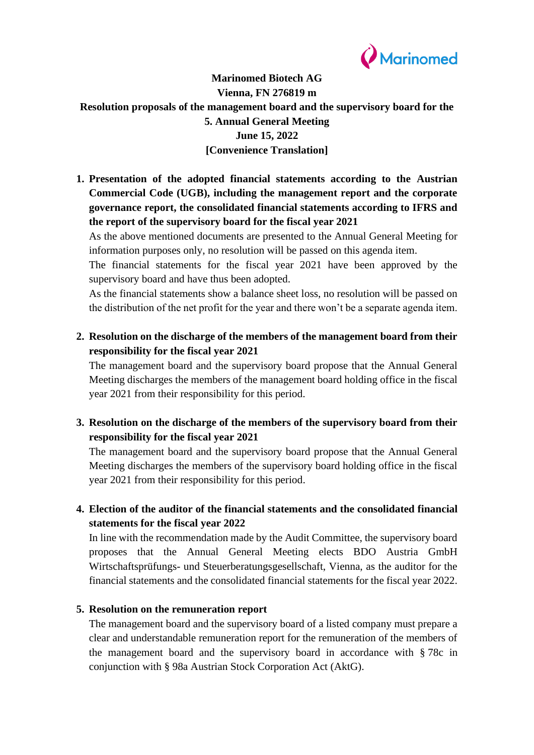

# **Marinomed Biotech AG Vienna, FN 276819 m Resolution proposals of the management board and the supervisory board for the 5. Annual General Meeting June 15, 2022 [Convenience Translation]**

**1. Presentation of the adopted financial statements according to the Austrian Commercial Code (UGB), including the management report and the corporate governance report, the consolidated financial statements according to IFRS and the report of the supervisory board for the fiscal year 2021**

As the above mentioned documents are presented to the Annual General Meeting for information purposes only, no resolution will be passed on this agenda item.

The financial statements for the fiscal year 2021 have been approved by the supervisory board and have thus been adopted.

As the financial statements show a balance sheet loss, no resolution will be passed on the distribution of the net profit for the year and there won't be a separate agenda item.

**2. Resolution on the discharge of the members of the management board from their responsibility for the fiscal year 2021**

The management board and the supervisory board propose that the Annual General Meeting discharges the members of the management board holding office in the fiscal year 2021 from their responsibility for this period.

**3. Resolution on the discharge of the members of the supervisory board from their responsibility for the fiscal year 2021**

The management board and the supervisory board propose that the Annual General Meeting discharges the members of the supervisory board holding office in the fiscal year 2021 from their responsibility for this period.

**4. Election of the auditor of the financial statements and the consolidated financial statements for the fiscal year 2022**

In line with the recommendation made by the Audit Committee, the supervisory board proposes that the Annual General Meeting elects BDO Austria GmbH Wirtschaftsprüfungs- und Steuerberatungsgesellschaft, Vienna, as the auditor for the financial statements and the consolidated financial statements for the fiscal year 2022.

#### **5. Resolution on the remuneration report**

The management board and the supervisory board of a listed company must prepare a clear and understandable remuneration report for the remuneration of the members of the management board and the supervisory board in accordance with § 78c in conjunction with § 98a Austrian Stock Corporation Act (AktG).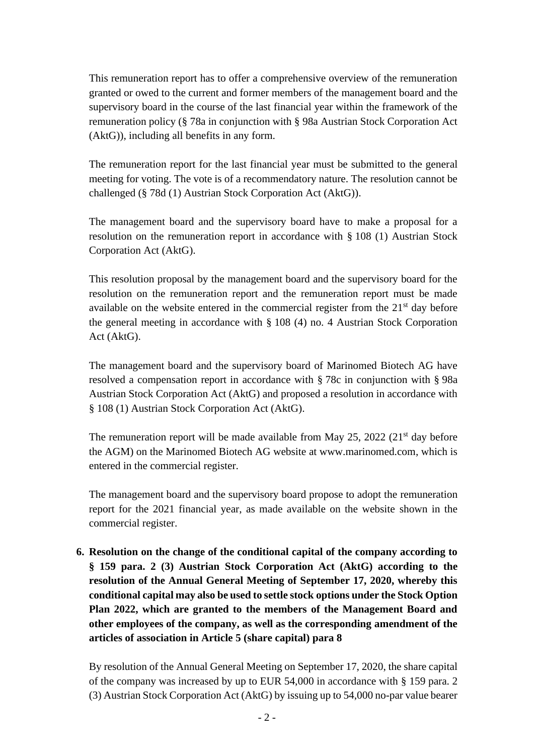This remuneration report has to offer a comprehensive overview of the remuneration granted or owed to the current and former members of the management board and the supervisory board in the course of the last financial year within the framework of the remuneration policy (§ 78a in conjunction with § 98a Austrian Stock Corporation Act (AktG)), including all benefits in any form.

The remuneration report for the last financial year must be submitted to the general meeting for voting. The vote is of a recommendatory nature. The resolution cannot be challenged (§ 78d (1) Austrian Stock Corporation Act (AktG)).

The management board and the supervisory board have to make a proposal for a resolution on the remuneration report in accordance with § 108 (1) Austrian Stock Corporation Act (AktG).

This resolution proposal by the management board and the supervisory board for the resolution on the remuneration report and the remuneration report must be made available on the website entered in the commercial register from the  $21<sup>st</sup>$  day before the general meeting in accordance with § 108 (4) no. 4 Austrian Stock Corporation Act (AktG).

The management board and the supervisory board of Marinomed Biotech AG have resolved a compensation report in accordance with § 78c in conjunction with § 98a Austrian Stock Corporation Act (AktG) and proposed a resolution in accordance with § 108 (1) Austrian Stock Corporation Act (AktG).

The remuneration report will be made available from May 25, 2022 ( $21<sup>st</sup>$  day before the AGM) on the Marinomed Biotech AG website at www.marinomed.com, which is entered in the commercial register.

The management board and the supervisory board propose to adopt the remuneration report for the 2021 financial year, as made available on the website shown in the commercial register.

**6. Resolution on the change of the conditional capital of the company according to § 159 para. 2 (3) Austrian Stock Corporation Act (AktG) according to the resolution of the Annual General Meeting of September 17, 2020, whereby this conditional capital may also be used to settle stock options under the Stock Option Plan 2022, which are granted to the members of the Management Board and other employees of the company, as well as the corresponding amendment of the articles of association in Article 5 (share capital) para 8**

By resolution of the Annual General Meeting on September 17, 2020, the share capital of the company was increased by up to EUR 54,000 in accordance with § 159 para. 2 (3) Austrian Stock Corporation Act (AktG) by issuing up to 54,000 no-par value bearer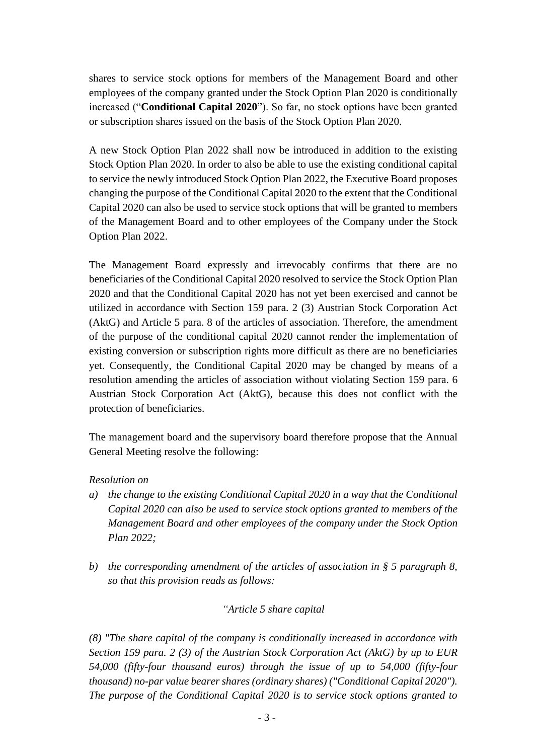shares to service stock options for members of the Management Board and other employees of the company granted under the Stock Option Plan 2020 is conditionally increased ("**Conditional Capital 2020**"). So far, no stock options have been granted or subscription shares issued on the basis of the Stock Option Plan 2020.

A new Stock Option Plan 2022 shall now be introduced in addition to the existing Stock Option Plan 2020. In order to also be able to use the existing conditional capital to service the newly introduced Stock Option Plan 2022, the Executive Board proposes changing the purpose of the Conditional Capital 2020 to the extent that the Conditional Capital 2020 can also be used to service stock options that will be granted to members of the Management Board and to other employees of the Company under the Stock Option Plan 2022.

The Management Board expressly and irrevocably confirms that there are no beneficiaries of the Conditional Capital 2020 resolved to service the Stock Option Plan 2020 and that the Conditional Capital 2020 has not yet been exercised and cannot be utilized in accordance with Section 159 para. 2 (3) Austrian Stock Corporation Act (AktG) and Article 5 para. 8 of the articles of association. Therefore, the amendment of the purpose of the conditional capital 2020 cannot render the implementation of existing conversion or subscription rights more difficult as there are no beneficiaries yet. Consequently, the Conditional Capital 2020 may be changed by means of a resolution amending the articles of association without violating Section 159 para. 6 Austrian Stock Corporation Act (AktG), because this does not conflict with the protection of beneficiaries.

The management board and the supervisory board therefore propose that the Annual General Meeting resolve the following:

## *Resolution on*

- *a) the change to the existing Conditional Capital 2020 in a way that the Conditional Capital 2020 can also be used to service stock options granted to members of the Management Board and other employees of the company under the Stock Option Plan 2022;*
- *b) the corresponding amendment of the articles of association in § 5 paragraph 8, so that this provision reads as follows:*

## *"Article 5 share capital*

*(8) "The share capital of the company is conditionally increased in accordance with Section 159 para. 2 (3) of the Austrian Stock Corporation Act (AktG) by up to EUR 54,000 (fifty-four thousand euros) through the issue of up to 54,000 (fifty-four thousand) no-par value bearer shares (ordinary shares) ("Conditional Capital 2020"). The purpose of the Conditional Capital 2020 is to service stock options granted to*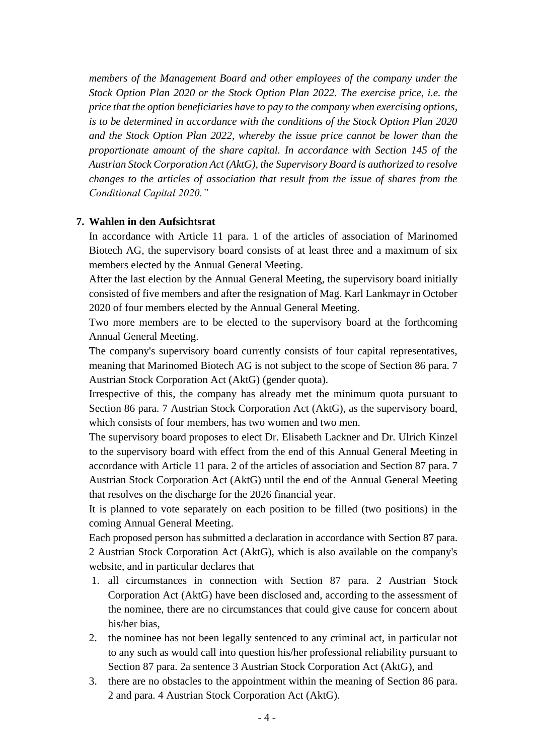*members of the Management Board and other employees of the company under the Stock Option Plan 2020 or the Stock Option Plan 2022. The exercise price, i.e. the price that the option beneficiaries have to pay to the company when exercising options, is to be determined in accordance with the conditions of the Stock Option Plan 2020 and the Stock Option Plan 2022, whereby the issue price cannot be lower than the proportionate amount of the share capital. In accordance with Section 145 of the Austrian Stock Corporation Act (AktG), the Supervisory Board is authorized to resolve changes to the articles of association that result from the issue of shares from the Conditional Capital 2020."*

#### **7. Wahlen in den Aufsichtsrat**

In accordance with Article 11 para. 1 of the articles of association of Marinomed Biotech AG, the supervisory board consists of at least three and a maximum of six members elected by the Annual General Meeting.

After the last election by the Annual General Meeting, the supervisory board initially consisted of five members and after the resignation of Mag. Karl Lankmayr in October 2020 of four members elected by the Annual General Meeting.

Two more members are to be elected to the supervisory board at the forthcoming Annual General Meeting.

The company's supervisory board currently consists of four capital representatives, meaning that Marinomed Biotech AG is not subject to the scope of Section 86 para. 7 Austrian Stock Corporation Act (AktG) (gender quota).

Irrespective of this, the company has already met the minimum quota pursuant to Section 86 para. 7 Austrian Stock Corporation Act (AktG), as the supervisory board, which consists of four members, has two women and two men.

The supervisory board proposes to elect Dr. Elisabeth Lackner and Dr. Ulrich Kinzel to the supervisory board with effect from the end of this Annual General Meeting in accordance with Article 11 para. 2 of the articles of association and Section 87 para. 7 Austrian Stock Corporation Act (AktG) until the end of the Annual General Meeting that resolves on the discharge for the 2026 financial year.

It is planned to vote separately on each position to be filled (two positions) in the coming Annual General Meeting.

Each proposed person has submitted a declaration in accordance with Section 87 para. 2 Austrian Stock Corporation Act (AktG), which is also available on the company's website, and in particular declares that

- 1. all circumstances in connection with Section 87 para. 2 Austrian Stock Corporation Act (AktG) have been disclosed and, according to the assessment of the nominee, there are no circumstances that could give cause for concern about his/her bias,
- 2. the nominee has not been legally sentenced to any criminal act, in particular not to any such as would call into question his/her professional reliability pursuant to Section 87 para. 2a sentence 3 Austrian Stock Corporation Act (AktG), and
- 3. there are no obstacles to the appointment within the meaning of Section 86 para. 2 and para. 4 Austrian Stock Corporation Act (AktG).